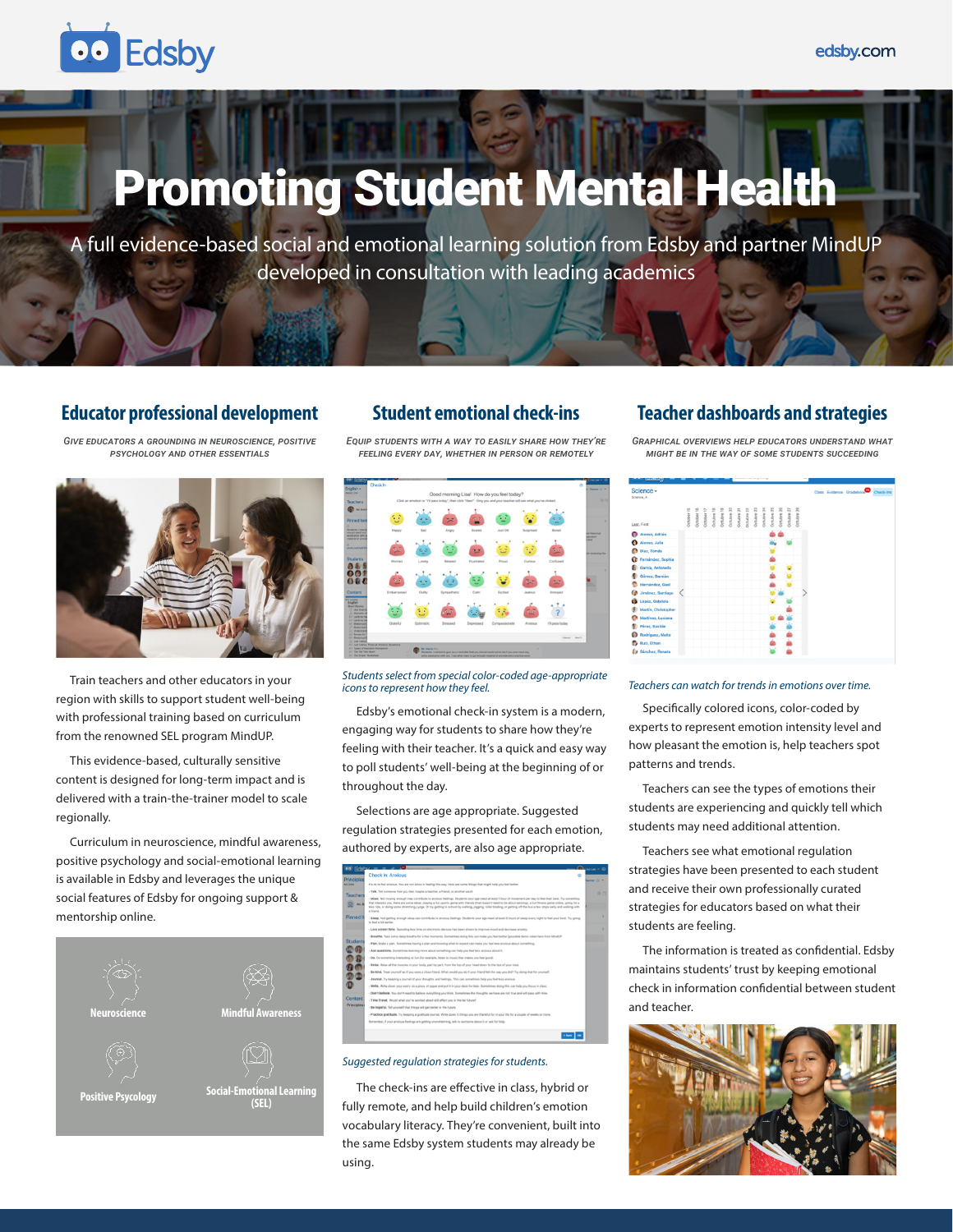# **OO** Edsby

# Promoting Student Mental Health

A full evidence-based social and emotional learning solution from Edsby and partner MindUP developed in consultation with leading academics

## **Educator professional development**

*Give educators a grounding in neuroscience, positive psychology and other essentials*



Train teachers and other educators in your region with skills to support student well-being with professional training based on curriculum from the renowned SEL program MindUP.

This evidence-based, culturally sensitive content is designed for long-term impact and is delivered with a train-the-trainer model to scale regionally.

Curriculum in neuroscience, mindful awareness, positive psychology and social-emotional learning is available in Edsby and leverages the unique social features of Edsby for ongoing support & mentorship online.



### **Student emotional check-ins**

*Equip students with a way to easily share how they're feeling every day, whether in person or remotely*



*Students select from special color-coded age-appropriate icons to represent how they feel.*

Edsby's emotional check-in system is a modern, engaging way for students to share how they're feeling with their teacher. It's a quick and easy way to poll students' well-being at the beginning of or throughout the day.

Selections are age appropriate. Suggested regulation strategies presented for each emotion, authored by experts, are also age appropriate.



#### *Suggested regulation strategies for students.*

The check-ins are effective in class, hybrid or fully remote, and help build children's emotion vocabulary literacy. They're convenient, built into the same Edsby system students may already be using.

#### **Teacher dashboards and strategies**

*Graphical overviews help educators understand what might be in the way of some students succeeding*

| Science -<br>Science A |            |            |            |            |            |            |            |            |            |            |            |             |            |            |  |  | Class Evidence Gradebook Check-Ins |
|------------------------|------------|------------|------------|------------|------------|------------|------------|------------|------------|------------|------------|-------------|------------|------------|--|--|------------------------------------|
| Last, First            | Dotober 15 | October 16 | Dctobar 17 | Dctubre 18 | Octubre 19 | Octubre 20 | Dctubre 21 | Octubre 22 | Octubre 23 | Octubre 24 | Dotubre 25 | Dotsdore 26 | Detuben 27 | Dotubre 28 |  |  |                                    |
| Alonso, Adrián         |            |            |            |            |            |            |            |            |            |            |            |             |            |            |  |  |                                    |
| Alonso, Julia          |            |            |            |            |            |            |            |            |            |            |            |             |            |            |  |  |                                    |
| Díaz, Tomás            |            |            |            |            |            |            |            |            |            |            |            |             |            |            |  |  |                                    |
| Fernández, Sophia<br>œ |            |            |            |            |            |            |            |            |            |            |            |             |            |            |  |  |                                    |
| García, Antonella      |            |            |            |            |            |            |            |            |            |            |            |             |            |            |  |  |                                    |
| Gómez, Damián          |            |            |            |            |            |            |            |            |            |            |            |             |            |            |  |  |                                    |
| Hernández, Gael        |            |            |            |            |            |            |            |            |            |            |            |             |            |            |  |  |                                    |
| Jiménez, Santiago      |            |            |            |            |            |            |            |            |            |            |            |             |            |            |  |  |                                    |
| López, Gabriela        |            |            |            |            |            |            |            |            |            |            |            |             |            |            |  |  |                                    |
| Martín, Christopher    |            |            |            |            |            |            |            |            |            |            |            |             |            |            |  |  |                                    |
| Martínez, Luciana      |            |            |            |            |            |            |            |            |            |            |            |             |            |            |  |  |                                    |
| Pérez, Bastián         |            |            |            |            |            |            |            |            |            |            |            |             |            |            |  |  |                                    |
| Rodríguez, Maite       |            |            |            |            |            |            |            |            |            |            |            |             |            |            |  |  |                                    |
| Ruiz, Ethan<br>ь.      |            |            |            |            |            |            |            |            |            |            |            |             |            |            |  |  |                                    |
| Sánchez, Renata<br>6   |            |            |            |            |            |            |            |            |            |            |            |             |            |            |  |  |                                    |

#### *Teachers can watch for trends in emotions over time.*

Specifically colored icons, color-coded by experts to represent emotion intensity level and how pleasant the emotion is, help teachers spot patterns and trends.

Teachers can see the types of emotions their students are experiencing and quickly tell which students may need additional attention.

Teachers see what emotional regulation strategies have been presented to each student and receive their own professionally curated strategies for educators based on what their students are feeling.

The information is treated as confidential. Edsby maintains students' trust by keeping emotional check in information confidential between student and teacher.